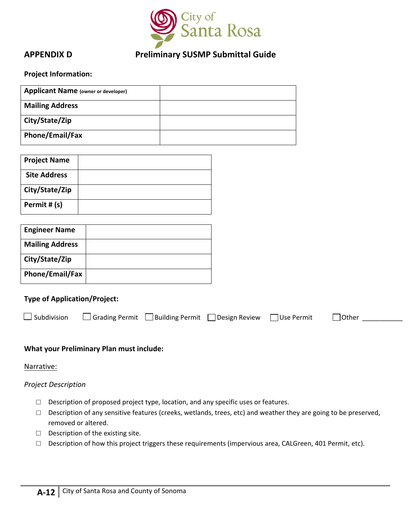

# **APPENDIX D Preliminary SUSMP Submittal Guide**

#### **Project Information:**

| <b>Applicant Name (owner or developer)</b> |  |
|--------------------------------------------|--|
| <b>Mailing Address</b>                     |  |
| City/State/Zip                             |  |
| Phone/Email/Fax                            |  |

| <b>Project Name</b> |  |
|---------------------|--|
| <b>Site Address</b> |  |
| City/State/Zip      |  |
| Permit # (s)        |  |

| <b>Engineer Name</b>   |  |
|------------------------|--|
| <b>Mailing Address</b> |  |
| City/State/Zip         |  |
| Phone/Email/Fax        |  |

### **Type of Application/Project:**

|  | $\Box$ Subdivision $\Box$ Grading Permit $\Box$ Building Permit $\Box$ Design Review $\Box$ Use Permit |  |  |  | $\Box$ Other |  |
|--|--------------------------------------------------------------------------------------------------------|--|--|--|--------------|--|
|--|--------------------------------------------------------------------------------------------------------|--|--|--|--------------|--|

## **What your Preliminary Plan must include:**

Narrative:

### *Project Description*

- □ Description of proposed project type, location, and any specific uses or features.
- □ Description of any sensitive features (creeks, wetlands, trees, etc) and weather they are going to be preserved, removed or altered.
- □ Description of the existing site.
- □ Description of how this project triggers these requirements (impervious area, CALGreen, 401 Permit, etc).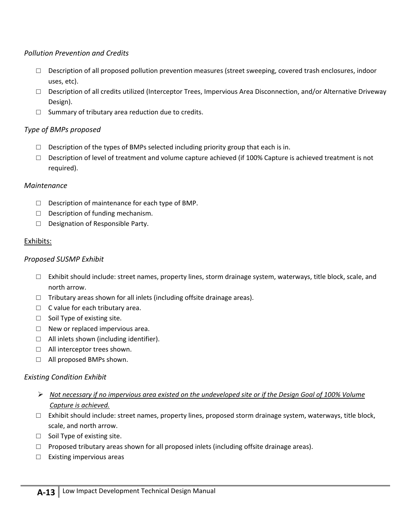# *Pollution Prevention and Credits*

- $\square$  Description of all proposed pollution prevention measures (street sweeping, covered trash enclosures, indoor uses, etc).
- □ Description of all credits utilized (Interceptor Trees, Impervious Area Disconnection, and/or Alternative Driveway Design).
- $\Box$  Summary of tributary area reduction due to credits.

# *Type of BMPs proposed*

- $\square$  Description of the types of BMPs selected including priority group that each is in.
- $\square$  Description of level of treatment and volume capture achieved (if 100% Capture is achieved treatment is not required).

# *Maintenance*

- $\Box$  Description of maintenance for each type of BMP.
- □ Description of funding mechanism.
- □ Designation of Responsible Party.

# Exhibits:

# *Proposed SUSMP Exhibit*

- $\Box$  Exhibit should include: street names, property lines, storm drainage system, waterways, title block, scale, and north arrow.
- $\Box$  Tributary areas shown for all inlets (including offsite drainage areas).
- $\Box$  C value for each tributary area.
- □ Soil Type of existing site.
- $\Box$  New or replaced impervious area.
- □ All inlets shown (including identifier).
- □ All interceptor trees shown.
- □ All proposed BMPs shown.

# *Existing Condition Exhibit*

- ► Not necessary if no impervious area existed on the undeveloped site or if the Design Goal of 100% Volume *Capture is achieved.*
- $\square$  Exhibit should include: street names, property lines, proposed storm drainage system, waterways, title block, scale, and north arrow.
- □ Soil Type of existing site.
- $\Box$  Proposed tributary areas shown for all proposed inlets (including offsite drainage areas).
- □ Existing impervious areas